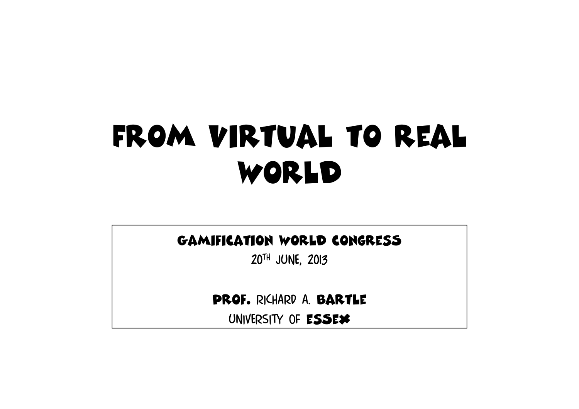# From virtual to real world

#### Gamification world congresS

20th june, 2013

Prof. Richard A. Bartle

UNIVERSITY OF ESSEX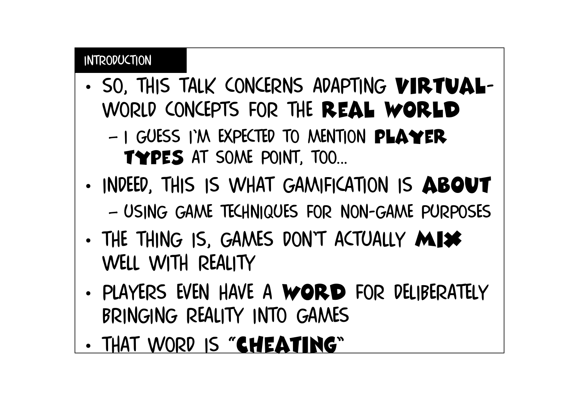#### introduction

•SO, THIS TALK CONCERNS ADAPTING VIRTUALworld concepts for the real world

 $-$  1 (2015 - 100 FXPE IFD 10 MENTION **DLAVFR** I GUESS I'M EXPECTED TO MENTION PLAYER types at some point, too...

- •INDEED, THIS IS WHAT GAMIFICATION IS ABOUT – $-$  USING GAME TECHNIQUES FOR NON-GAME PURPOSES
- •THE THING IS, GAMES DON'T ACTUALLY MIX well with reality
- •PLAYERS EVEN HAVE A WORD FOR DELIBERATELY bringing reality into games
- •THAT WORD IS "CHEATING"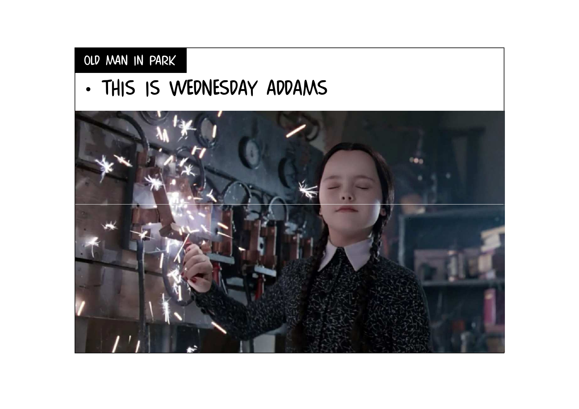## Old man in park

•THIS IS WEDNESDAY ADDAMS

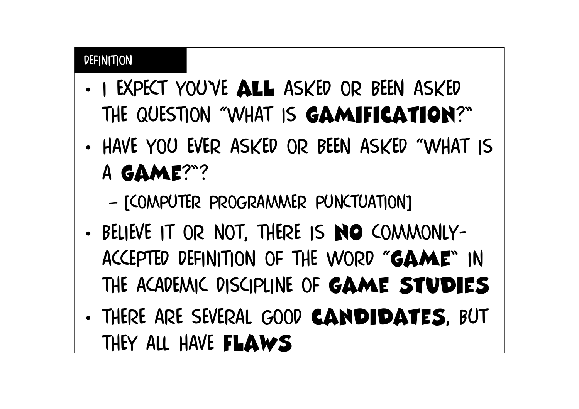#### **DEFINITION**

- •I EXPECT YOU'VE ALL ASKED OR BEEN ASKED the question "what is gamification?"
- • Have you ever asked or been asked "what is a game?"?

–- [COMPUTER PROGRAMMER PUNCTUATION]

- •BELIEVE IT OR NOT, THERE IS NO COMMONLYaccepted definition of the word "game" in the academic discipline of game studies
- •THERE ARE SEVERAL GOOD **CANDIDATES**, BUT they all have flaws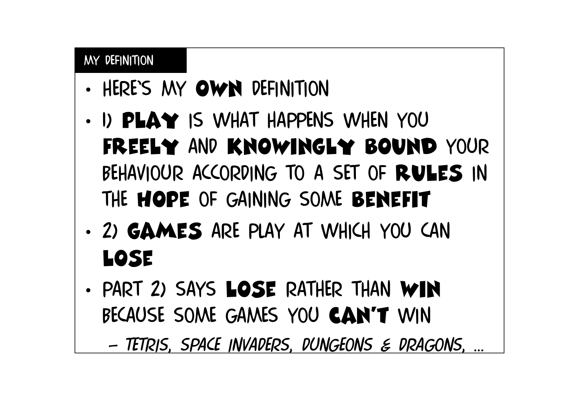#### My definition

- •HERE'S MY OWN DEFINITION
- • 1) play is what happens when you FREELY AND KNOWINGLY BOUND YOUR<br>PELIAMOUD ACCODING TO A CET OF BAILER IN BEHAVIOUR ACCORDING TO A SET OF RULES IN THE HOPE OF GAINING SOME BENEFIT
- • 2) games are play at which you can lose
- •PART 2) SAYS LOSE RATHER THAN WIN because some games you can't win

–*Tetris*, *space invaders*, *dungeons & dragons*, ...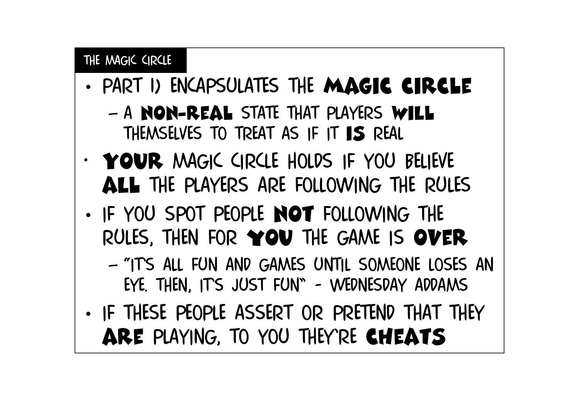## The magic circle

- •PART 1) ENCAPSULATES THE MAGIC CIRCLE
	- –A NON-REAL STATE THAT PLAYERS WILL THEMSELVES TO TREAT AS IF IT  $\textsf{IS}$  real
- •YOUR MAGIC CIRCLE HOLDS IF YOU BELIEVE aLl the players are following the rules
- •. IF YOU SPOT PEOPLE NOT FOLLOWING THE RULES, THEN FOR YOU THE GAME IS OVER
	- $\sim$  11  $\leq$  211 FON AND CAMPS ONTIL SOMEONE LOST "ITS ALL FUN AND GAMES UNTIL SOMEONE LOSES AN"<br>EVE TUEN ITS ILIST ELIN" - WEDNESDAV ADDANAS EYE. THEN, IT'S JUST FUN" - WEDNESDAY ADDAMS
- •IF THESE PEOPLE ASSERT OR PRETEND THAT THEY ARE PLAYING, TO YOU THEY'RE CHEATS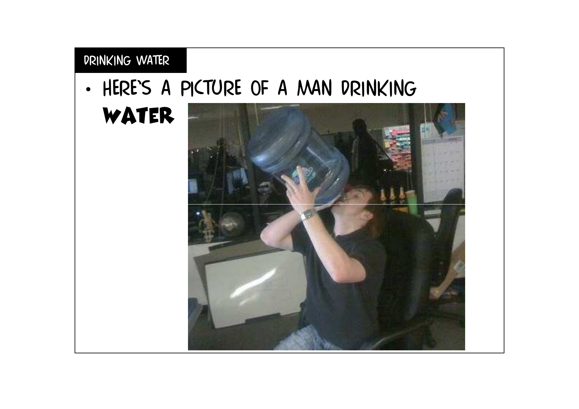## Drinking water

•Here's a picture of a man drinking

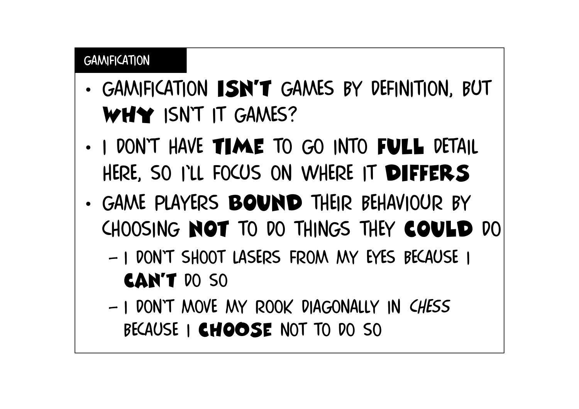#### **GAMIFICATION**

- •GAMIFICATION **ISN'T** GAMES BY DEFINITION, BUT WHY ISN'T IT GAMES?
- •I DON'T HAVE TIME TO GO INTO FULL DETAIL here, so i'll focus on where it diFfers
- •. GAME PLAYERS BOUND THEIR BEHAVIOUR BY choosing not to do things they could do
	- – I don't shoot lasers from my eyes because i can't do so
	- – I don't move my rook diagonally in *chess* BECAUSE I CHOOSE NOT TO DO SO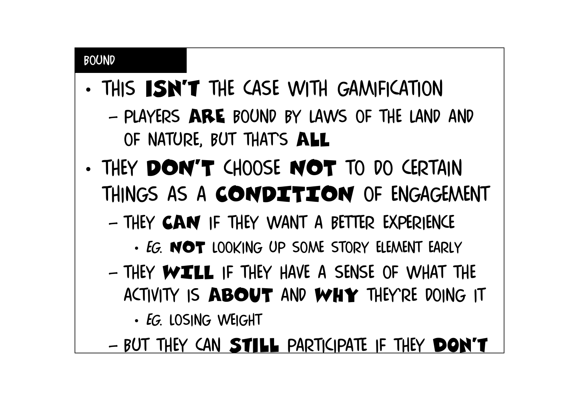#### BOUND

- •THIS **ISN'T** THE CASE WITH GAMIFICATION –PLAYERS ARE BOUND BY LAWS OF THE LAND AND OF NATURE, BUT THAT'S ALL
- •THEY DON'T CHOOSE NOT TO DO CERTAIN THINGS AS A CONDITION OF ENGAGEMENT
	- –THEY CAN IF THEY WANT A BETTER EXPERIENCE
		- •*EG*. NOT LOOKING UP SOME STORY ELEMENT EARLY
	- –THEY WILL IF THEY HAVE A SENSE OF WHAT THE ACTIVITY IS ABOUT AND WHY THEY'RE DOING IT
		- •*EG*. LOSING WEIGHT
	- –BUT THEY CAN STILL PARTICIPATE IF THEY DON'T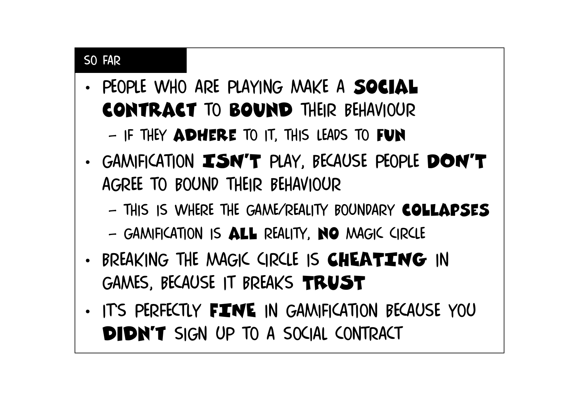## SO FAR

- •PEOPLE WHO ARE PLAYING MAKE A SOCIAL contract to bound their behaviour–if they adhere to it, this leads to fun
- •GAMIFICATION ISN'T PLAY, BECAUSE PEOPLE DON'T AGREE TO BOUND THEIR BEHAVIOUR
	- – $-$  THIS IS WHERE THE GAME/REALITY BOUNDARY COLLAPSES
	- –Gamification is aLl reality, no magic circle
- •BREAKING THE MAGIC CIRCLE IS **CHEATING** IN GAMES, BECAUSE it BREAKs TRUST
- •ITS PERFECTLY FINE IN GAMIFICATION BECAUSE YOU didn't sign up to a social contract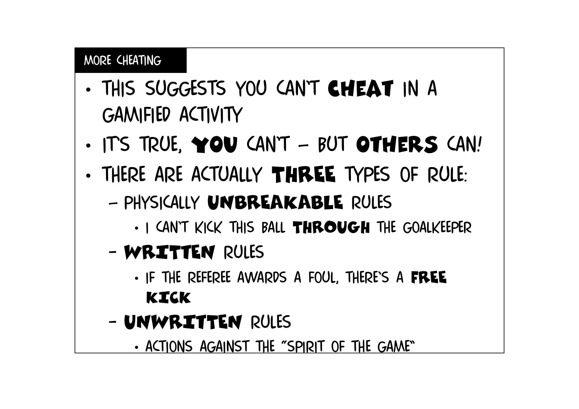#### MORE CHEATING

- •THIS SUGGESTS YOU CAN'T CHEAT IN A gamified activity
- •ITS TRUE, YOU CAN'T – BUT OTHERS CAN!
- •THERE ARE ACTUALLY THREE TYPES OF RULE:
	- –– PHYSICALLY UNBREAKABLE RULES
		- •I CAN'T KICK THIS BALL THROUGH THE GOALKEEPER
	- –WRITTEN RULES
		- •IF THE REFEREE AWARDS A FOUL, THERE'S A FREE KICK
	- UNIVI UNWRITTEN RULES
		- •ACTIONS AGAINST THE "SPIRIT OF THE GAME"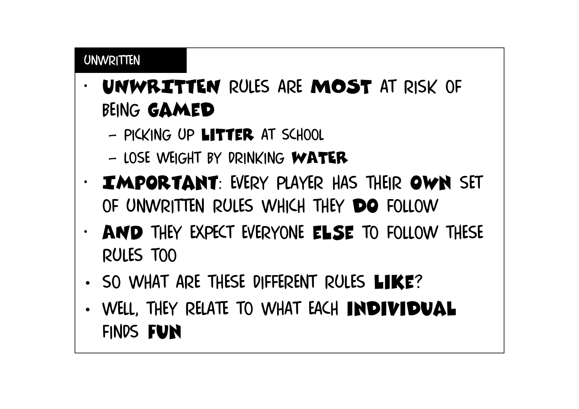#### unwritten

- • UNWRITtEN RULES ARE MOST AT RISK of being gamed
	- DICVING UD PICKING UP LITTER AT SCHOOL
	- –LOSE WEIGHT BY DRINKING WATER
- • Important: Every player has their own set of unwritten rules which they do follow
- AND THEY EXPECT EVERYONE ELSE TO FOLLOW THESE •rules too
- •SO WHAT ARE THESE DIFFERENT RULES LIKE?
- •WELL, THEY RELATE TO WHAT EACH INDIVIDUAL finds fun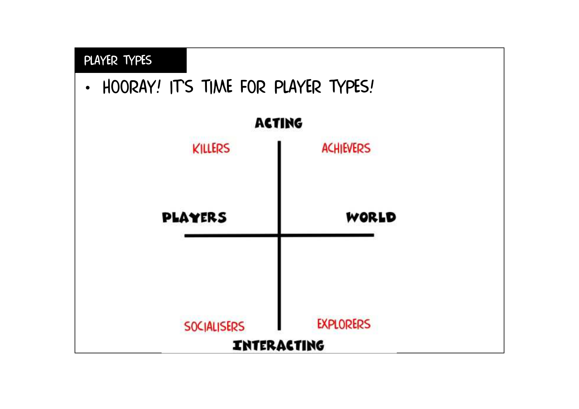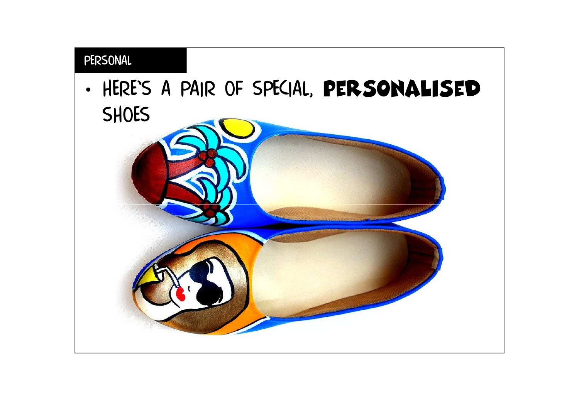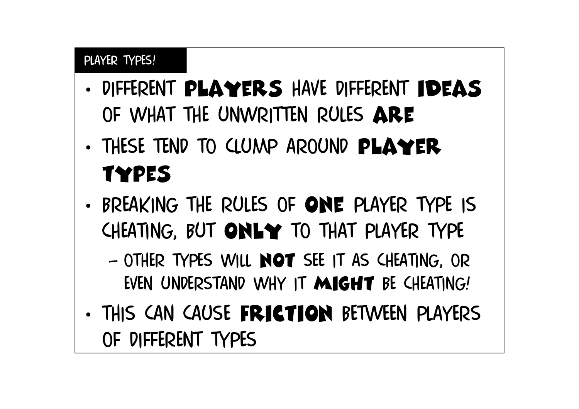### PLAYER TYPES!

- •DIFFERENT PLAYERS HAVE DIFFERENT IDEAS of what the unwritten rules are
- •THESE TEND TO CLUMP AROUND PLAYER types
- •. BREAKING THE RULES OF ONE PLAYER TYPE IS CHEATING, BUT ONLY TO THAT PLAYER TYPE
	- –OTHER TYPES WILL NOT SEE IT AS CHEATING, OR EVEN UNDERSTAND WHY IT MIGHT BE CHEATING!
- •THIS CAN CAUSE FRICTION BETWEEN PLAYERS of different types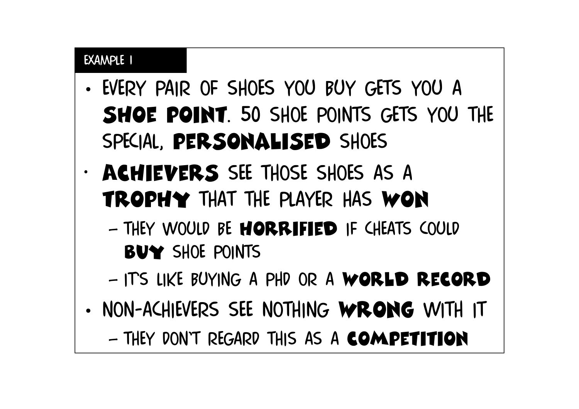- •EVERY PAIR OF SHOES YOU BUY GETS YOU A shoe point. 50 shoe points gets you the special, personalised shoes
- •ACHIEVERS SEE THOSE SHOES AS A trophy that the player has won
	- –THEY WOULD BE **HORRIFIED** IF CHEATS COULD BUY SHOE POINTS
	- –It's like buying a phd or a world record
- •NON-ACHIEVERS SEE NOTHING WRONG WITH IT –They don't regard this as a competition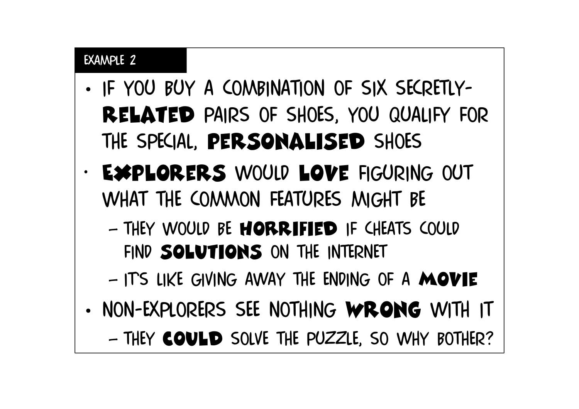- • If you buy a combination of six secretly-RELATED PAIRS OF SHOES, YOU QUALIFY FOR the special, personalised shoes
- • Explorers would love figuring out what the common features might be
	- –THEY WOULD BE **HORRIFIED** IF CHEATS COULD find solutions on the internet
	- –ITS LIKE GIVING AWAY THE ENDING OF A MOVIE
- •NON-EXPLORERS SEE NOTHING WRONG WITH IT

–THEY COULD SOLVE THE PUZZLE, SO WHY BOTHER?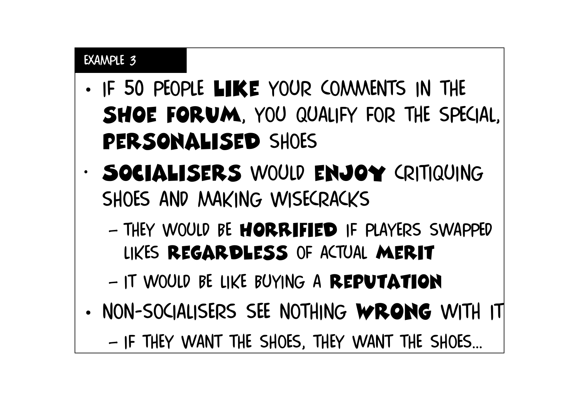- •IF 50 PEOPLE LIKE YOUR COMMENTS IN THE shoe forum, you qualify for the special, PERSONALISED SHOES
- •SOCIALISERS WOULD ENJOY CRITIQUING shoes and making wisecracks
	- –THEY WOULD BE **HORRIFIED** IF PLAYERS SWAPPED likes regardless of actual merit
	- –It would be like buying a reputation
- •Non-socialisers see nothing wrong with it

–IF THEY WANT THE SHOES, THEY WANT THE SHOES...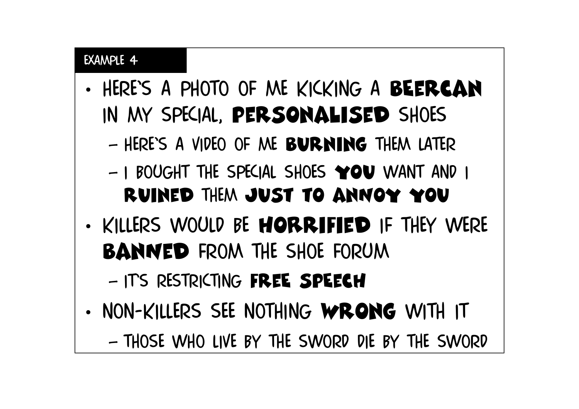- •HERE'S A PHOTO OF ME KICKING A BEERCAN in my special, personalised shoes
	- –Here's a video of me burning them later
	- –I BOUGHT THE SPECIAL SHOES YOU WANT AND I ruined them just to anNoy you
- •KILLERS WOULD BE MORRIFIED IF THEY WERE **BANNED FROM THE SHOE FORUM**

–ITS RESTRICTING FREE SPEECH

•Non-killers see nothing wrong with it

–Those who live by the sword die by the sword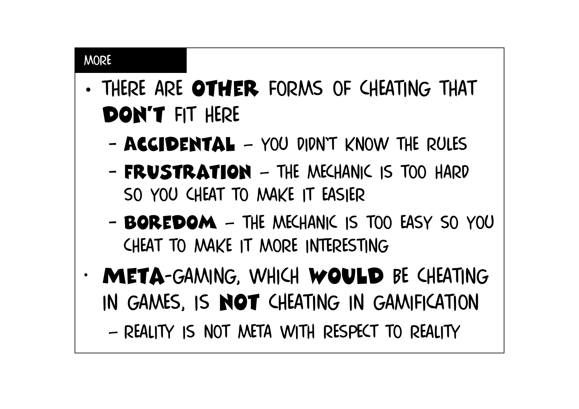#### **MORE**

- •THERE ARE OTHER FORMS OF CHEATING THAT don't fit here
	- –AcCidental – you didn't know the rules
	- –**FRUSTRATION** – THE MECHANIC IS TOO HARD so you cheat to make it easier
	- –**BOREDOM** – THE MECHANIC IS TOO EASY SO YOU cheat to make it more interesting
- • Meta-gaming, which would be cheating IN GAMES, IS **NOT** CHEATING IN GAMIFICATION

–Reality is not meta with respect to reality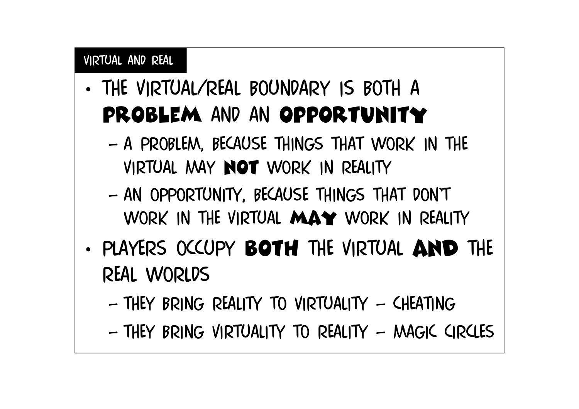#### Virtual and real

- •THE VIRTUAL/REAL BOUNDARY IS BOTH A PROBLEM AND AN OPPORTUNITY
	- – a problem, because things that work in the virtual may not work in reality
	- – an opportunity, because things that don't work in the virtual may work in reality
- •PLAYERS OCCUPY **BOTH** THE VIRTUAL AND THE real worlds
	- –they bring reality to virtuality – cheating
	- –They bring virtuality to reality – magic circles